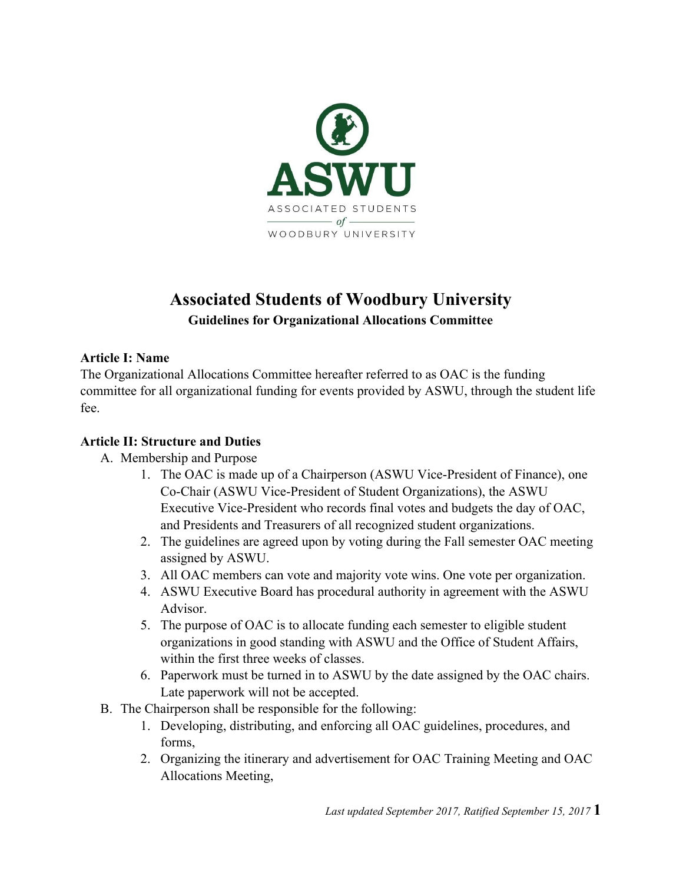

# **Associated Students of Woodbury University Guidelines for Organizational Allocations Committee**

#### **Article I: Name**

The Organizational Allocations Committee hereafter referred to as OAC is the funding committee for all organizational funding for events provided by ASWU, through the student life fee.

#### **Article II: Structure and Duties**

- A. Membership and Purpose
	- 1. The OAC is made up of a Chairperson (ASWU Vice-President of Finance), one Co-Chair (ASWU Vice-President of Student Organizations), the ASWU Executive Vice-President who records final votes and budgets the day of OAC, and Presidents and Treasurers of all recognized student organizations.
	- 2. The guidelines are agreed upon by voting during the Fall semester OAC meeting assigned by ASWU.
	- 3. All OAC members can vote and majority vote wins. One vote per organization.
	- 4. ASWU Executive Board has procedural authority in agreement with the ASWU Advisor.
	- 5. The purpose of OAC is to allocate funding each semester to eligible student organizations in good standing with ASWU and the Office of Student Affairs, within the first three weeks of classes.
	- 6. Paperwork must be turned in to ASWU by the date assigned by the OAC chairs. Late paperwork will not be accepted.
- B. The Chairperson shall be responsible for the following:
	- 1. Developing, distributing, and enforcing all OAC guidelines, procedures, and forms,
	- 2. Organizing the itinerary and advertisement for OAC Training Meeting and OAC Allocations Meeting,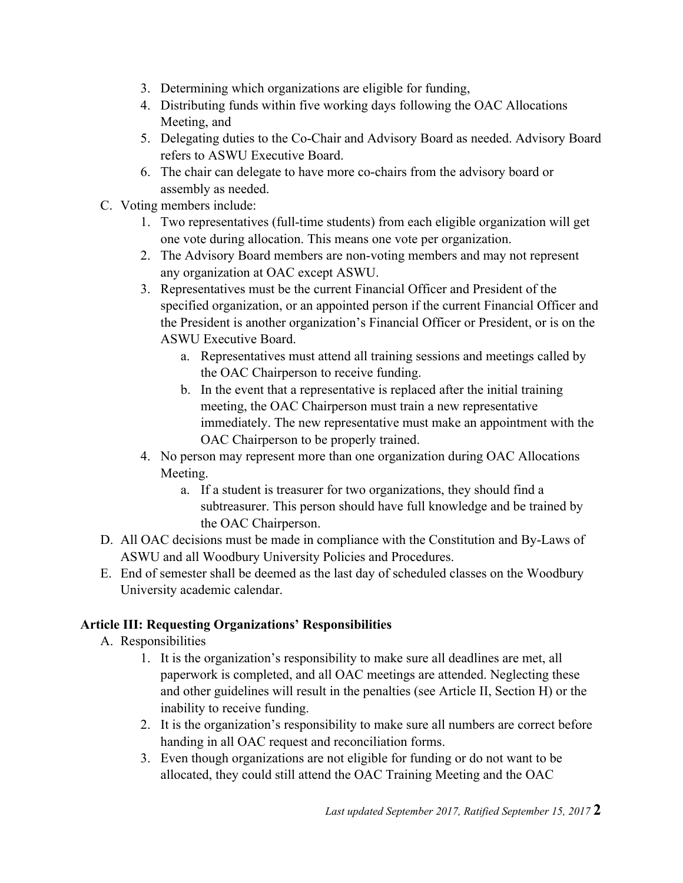- 3. Determining which organizations are eligible for funding,
- 4. Distributing funds within five working days following the OAC Allocations Meeting, and
- 5. Delegating duties to the Co-Chair and Advisory Board as needed. Advisory Board refers to ASWU Executive Board.
- 6. The chair can delegate to have more co-chairs from the advisory board or assembly as needed.
- C. Voting members include:
	- 1. Two representatives (full-time students) from each eligible organization will get one vote during allocation. This means one vote per organization.
	- 2. The Advisory Board members are non-voting members and may not represent any organization at OAC except ASWU.
	- 3. Representatives must be the current Financial Officer and President of the specified organization, or an appointed person if the current Financial Officer and the President is another organization's Financial Officer or President, or is on the ASWU Executive Board.
		- a. Representatives must attend all training sessions and meetings called by the OAC Chairperson to receive funding.
		- b. In the event that a representative is replaced after the initial training meeting, the OAC Chairperson must train a new representative immediately. The new representative must make an appointment with the OAC Chairperson to be properly trained.
	- 4. No person may represent more than one organization during OAC Allocations Meeting.
		- a. If a student is treasurer for two organizations, they should find a subtreasurer. This person should have full knowledge and be trained by the OAC Chairperson.
- D. All OAC decisions must be made in compliance with the Constitution and By-Laws of ASWU and all Woodbury University Policies and Procedures.
- E. End of semester shall be deemed as the last day of scheduled classes on the Woodbury University academic calendar.

## **Article III: Requesting Organizations' Responsibilities**

- A. Responsibilities
	- 1. It is the organization's responsibility to make sure all deadlines are met, all paperwork is completed, and all OAC meetings are attended. Neglecting these and other guidelines will result in the penalties (see Article II, Section H) or the inability to receive funding.
	- 2. It is the organization's responsibility to make sure all numbers are correct before handing in all OAC request and reconciliation forms.
	- 3. Even though organizations are not eligible for funding or do not want to be allocated, they could still attend the OAC Training Meeting and the OAC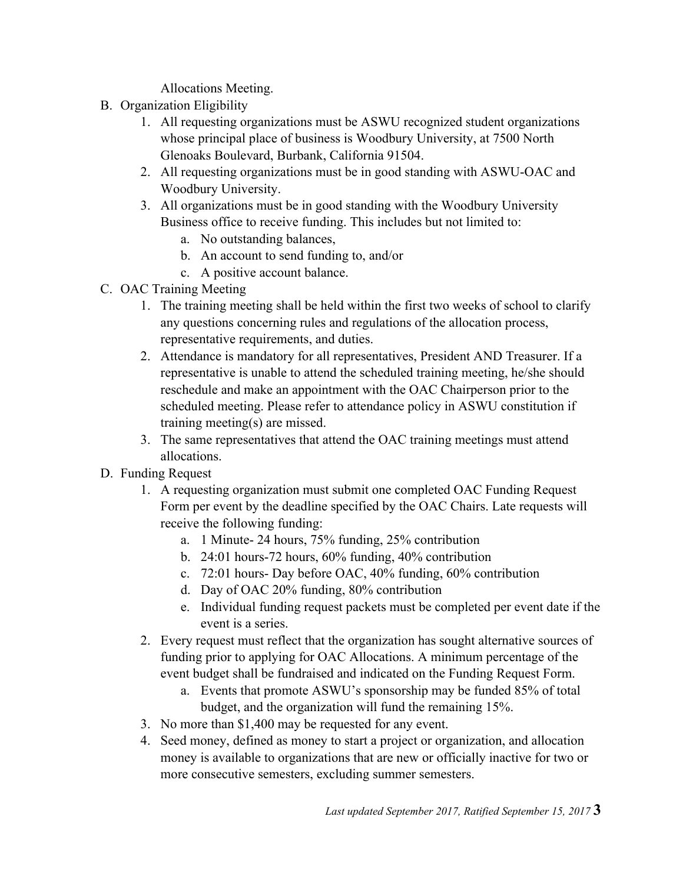Allocations Meeting.

- B. Organization Eligibility
	- 1. All requesting organizations must be ASWU recognized student organizations whose principal place of business is Woodbury University, at 7500 North Glenoaks Boulevard, Burbank, California 91504.
	- 2. All requesting organizations must be in good standing with ASWU-OAC and Woodbury University.
	- 3. All organizations must be in good standing with the Woodbury University Business office to receive funding. This includes but not limited to:
		- a. No outstanding balances,
		- b. An account to send funding to, and/or
		- c. A positive account balance.
- C. OAC Training Meeting
	- 1. The training meeting shall be held within the first two weeks of school to clarify any questions concerning rules and regulations of the allocation process, representative requirements, and duties.
	- 2. Attendance is mandatory for all representatives, President AND Treasurer. If a representative is unable to attend the scheduled training meeting, he/she should reschedule and make an appointment with the OAC Chairperson prior to the scheduled meeting. Please refer to attendance policy in ASWU constitution if training meeting(s) are missed.
	- 3. The same representatives that attend the OAC training meetings must attend allocations.
- D. Funding Request
	- 1. A requesting organization must submit one completed OAC Funding Request Form per event by the deadline specified by the OAC Chairs. Late requests will receive the following funding:
		- a. 1 Minute- 24 hours, 75% funding, 25% contribution
		- b. 24:01 hours-72 hours, 60% funding, 40% contribution
		- c. 72:01 hours- Day before OAC, 40% funding, 60% contribution
		- d. Day of OAC 20% funding, 80% contribution
		- e. Individual funding request packets must be completed per event date if the event is a series.
	- 2. Every request must reflect that the organization has sought alternative sources of funding prior to applying for OAC Allocations. A minimum percentage of the event budget shall be fundraised and indicated on the Funding Request Form.
		- a. Events that promote ASWU's sponsorship may be funded 85% of total budget, and the organization will fund the remaining 15%.
	- 3. No more than \$1,400 may be requested for any event.
	- 4. Seed money, defined as money to start a project or organization, and allocation money is available to organizations that are new or officially inactive for two or more consecutive semesters, excluding summer semesters.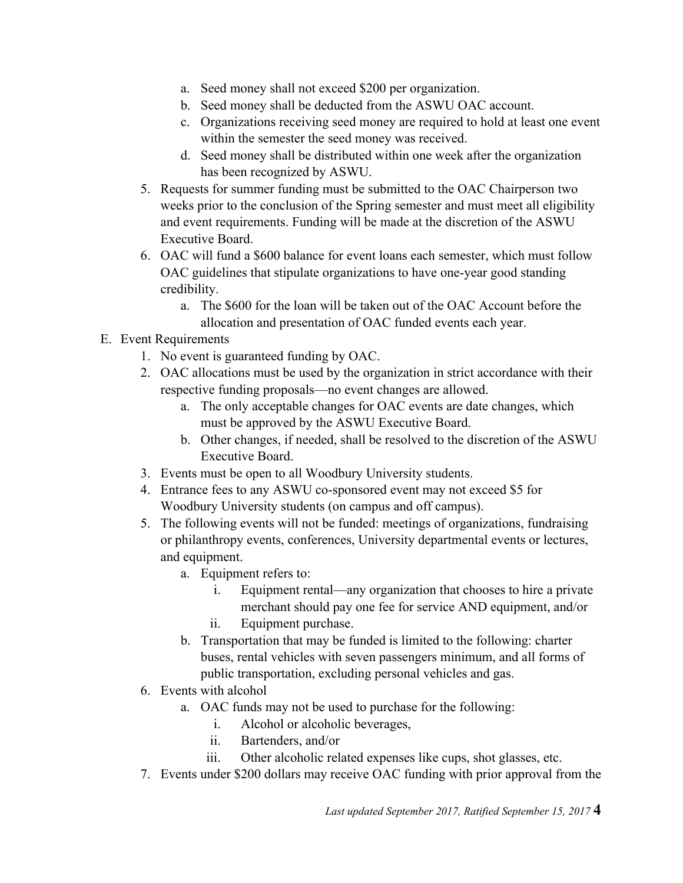- a. Seed money shall not exceed \$200 per organization.
- b. Seed money shall be deducted from the ASWU OAC account.
- c. Organizations receiving seed money are required to hold at least one event within the semester the seed money was received.
- d. Seed money shall be distributed within one week after the organization has been recognized by ASWU.
- 5. Requests for summer funding must be submitted to the OAC Chairperson two weeks prior to the conclusion of the Spring semester and must meet all eligibility and event requirements. Funding will be made at the discretion of the ASWU Executive Board.
- 6. OAC will fund a \$600 balance for event loans each semester, which must follow OAC guidelines that stipulate organizations to have one-year good standing credibility.
	- a. The \$600 for the loan will be taken out of the OAC Account before the allocation and presentation of OAC funded events each year.

## E. Event Requirements

- 1. No event is guaranteed funding by OAC.
- 2. OAC allocations must be used by the organization in strict accordance with their respective funding proposals—no event changes are allowed.
	- a. The only acceptable changes for OAC events are date changes, which must be approved by the ASWU Executive Board.
	- b. Other changes, if needed, shall be resolved to the discretion of the ASWU Executive Board.
- 3. Events must be open to all Woodbury University students.
- 4. Entrance fees to any ASWU co-sponsored event may not exceed \$5 for Woodbury University students (on campus and off campus).
- 5. The following events will not be funded: meetings of organizations, fundraising or philanthropy events, conferences, University departmental events or lectures, and equipment.
	- a. Equipment refers to:
		- i. Equipment rental—any organization that chooses to hire a private merchant should pay one fee for service AND equipment, and/or ii. Equipment purchase.
	- b. Transportation that may be funded is limited to the following: charter
	- buses, rental vehicles with seven passengers minimum, and all forms of public transportation, excluding personal vehicles and gas.
- 6. Events with alcohol
	- a. OAC funds may not be used to purchase for the following:
		- i. Alcohol or alcoholic beverages,
		- ii. Bartenders, and/or
		- iii. Other alcoholic related expenses like cups, shot glasses, etc.
- 7. Events under \$200 dollars may receive OAC funding with prior approval from the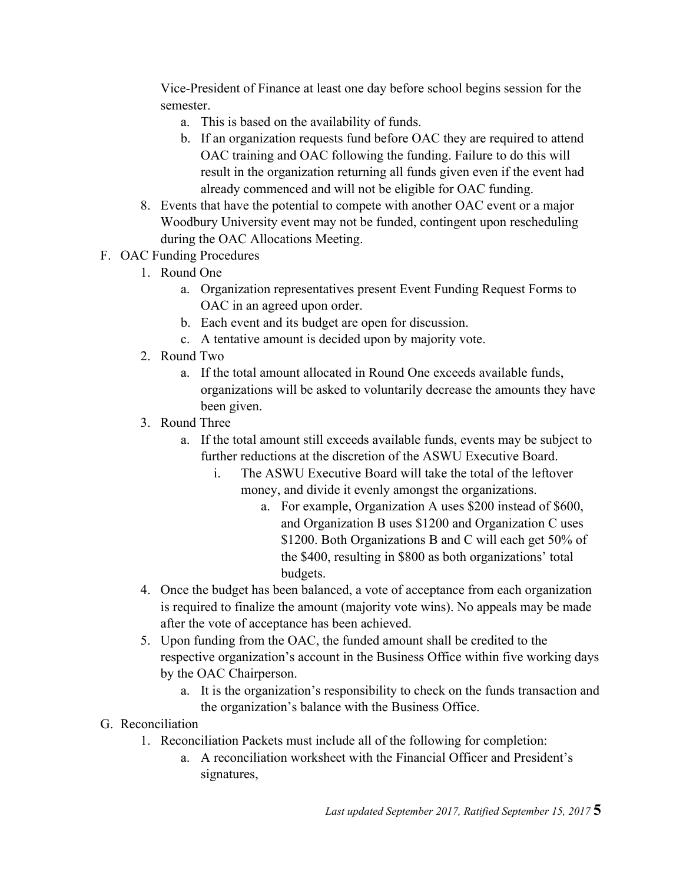Vice-President of Finance at least one day before school begins session for the semester.

- a. This is based on the availability of funds.
- b. If an organization requests fund before OAC they are required to attend OAC training and OAC following the funding. Failure to do this will result in the organization returning all funds given even if the event had already commenced and will not be eligible for OAC funding.
- 8. Events that have the potential to compete with another OAC event or a major Woodbury University event may not be funded, contingent upon rescheduling during the OAC Allocations Meeting.
- F. OAC Funding Procedures
	- 1. Round One
		- a. Organization representatives present Event Funding Request Forms to OAC in an agreed upon order.
		- b. Each event and its budget are open for discussion.
		- c. A tentative amount is decided upon by majority vote.
	- 2. Round Two
		- a. If the total amount allocated in Round One exceeds available funds, organizations will be asked to voluntarily decrease the amounts they have been given.
	- 3. Round Three
		- a. If the total amount still exceeds available funds, events may be subject to further reductions at the discretion of the ASWU Executive Board.
			- i. The ASWU Executive Board will take the total of the leftover money, and divide it evenly amongst the organizations.
				- a. For example, Organization A uses \$200 instead of \$600, and Organization B uses \$1200 and Organization C uses \$1200. Both Organizations B and C will each get 50% of the \$400, resulting in \$800 as both organizations' total budgets.
	- 4. Once the budget has been balanced, a vote of acceptance from each organization is required to finalize the amount (majority vote wins). No appeals may be made after the vote of acceptance has been achieved.
	- 5. Upon funding from the OAC, the funded amount shall be credited to the respective organization's account in the Business Office within five working days by the OAC Chairperson.
		- a. It is the organization's responsibility to check on the funds transaction and the organization's balance with the Business Office.
- G. Reconciliation
	- 1. Reconciliation Packets must include all of the following for completion:
		- a. A reconciliation worksheet with the Financial Officer and President's signatures,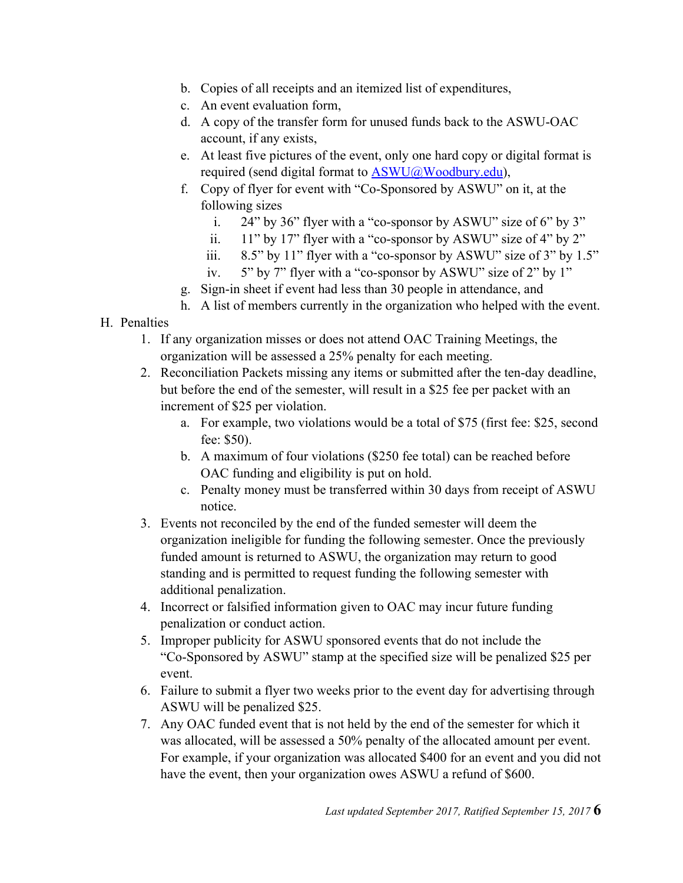- b. Copies of all receipts and an itemized list of expenditures,
- c. An event evaluation form,
- d. A copy of the transfer form for unused funds back to the ASWU-OAC account, if any exists,
- e. At least five pictures of the event, only one hard copy or digital format is required (send digital format to ASWU@Woodbury.edu),
- f. Copy of flyer for event with "Co-Sponsored by ASWU" on it, at the following sizes
	- i. 24" by 36" flyer with a "co-sponsor by ASWU" size of 6" by 3"
	- ii. 11" by 17" flyer with a "co-sponsor by ASWU" size of 4" by 2"
	- iii.  $8.5$ " by 11" flyer with a "co-sponsor by ASWU" size of 3" by 1.5"
	- iv. 5" by 7" flyer with a "co-sponsor by ASWU" size of 2" by 1"
- g. Sign-in sheet if event had less than 30 people in attendance, and
- h. A list of members currently in the organization who helped with the event.

#### H. Penalties

- 1. If any organization misses or does not attend OAC Training Meetings, the organization will be assessed a 25% penalty for each meeting.
- 2. Reconciliation Packets missing any items or submitted after the ten-day deadline, but before the end of the semester, will result in a \$25 fee per packet with an increment of \$25 per violation.
	- a. For example, two violations would be a total of \$75 (first fee: \$25, second fee: \$50).
	- b. A maximum of four violations (\$250 fee total) can be reached before OAC funding and eligibility is put on hold.
	- c. Penalty money must be transferred within 30 days from receipt of ASWU notice.
- 3. Events not reconciled by the end of the funded semester will deem the organization ineligible for funding the following semester. Once the previously funded amount is returned to ASWU, the organization may return to good standing and is permitted to request funding the following semester with additional penalization.
- 4. Incorrect or falsified information given to OAC may incur future funding penalization or conduct action.
- 5. Improper publicity for ASWU sponsored events that do not include the "Co-Sponsored by ASWU" stamp at the specified size will be penalized \$25 per event.
- 6. Failure to submit a flyer two weeks prior to the event day for advertising through ASWU will be penalized \$25.
- 7. Any OAC funded event that is not held by the end of the semester for which it was allocated, will be assessed a 50% penalty of the allocated amount per event. For example, if your organization was allocated \$400 for an event and you did not have the event, then your organization owes ASWU a refund of \$600.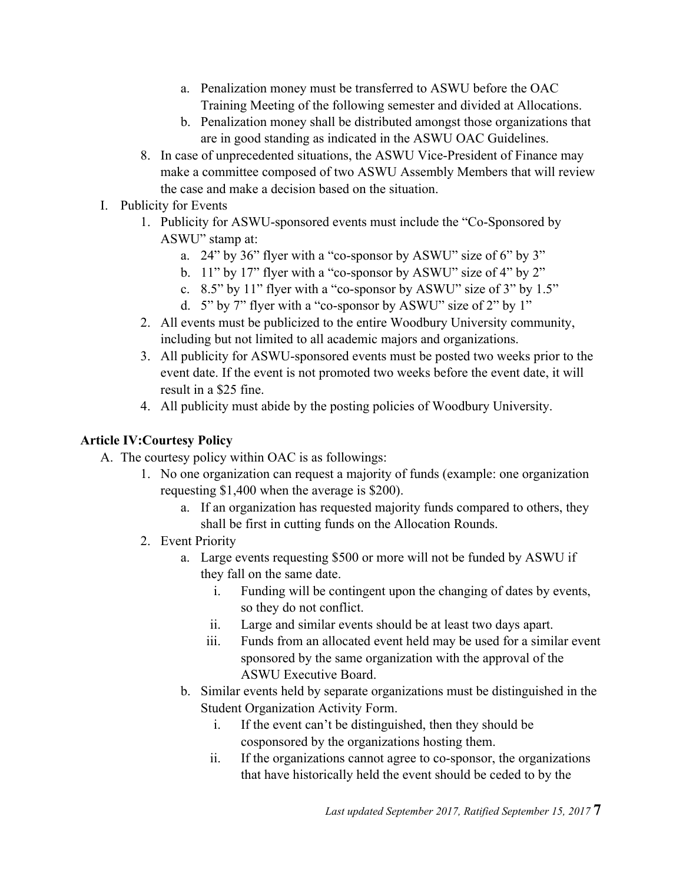- a. Penalization money must be transferred to ASWU before the OAC Training Meeting of the following semester and divided at Allocations.
- b. Penalization money shall be distributed amongst those organizations that are in good standing as indicated in the ASWU OAC Guidelines.
- 8. In case of unprecedented situations, the ASWU Vice-President of Finance may make a committee composed of two ASWU Assembly Members that will review the case and make a decision based on the situation.
- I. Publicity for Events
	- 1. Publicity for ASWU-sponsored events must include the "Co-Sponsored by ASWU" stamp at:
		- a. 24" by 36" flyer with a "co-sponsor by ASWU" size of 6" by 3"
		- b. 11" by 17" flyer with a "co-sponsor by ASWU" size of 4" by 2"
		- c. 8.5" by 11" flyer with a "co-sponsor by ASWU" size of 3" by 1.5"
		- d. 5" by 7" flyer with a "co-sponsor by ASWU" size of 2" by 1"
	- 2. All events must be publicized to the entire Woodbury University community, including but not limited to all academic majors and organizations.
	- 3. All publicity for ASWU-sponsored events must be posted two weeks prior to the event date. If the event is not promoted two weeks before the event date, it will result in a \$25 fine.
	- 4. All publicity must abide by the posting policies of Woodbury University.

## **Article IV:Courtesy Policy**

- A. The courtesy policy within OAC is as followings:
	- 1. No one organization can request a majority of funds (example: one organization requesting \$1,400 when the average is \$200).
		- a. If an organization has requested majority funds compared to others, they shall be first in cutting funds on the Allocation Rounds.
	- 2. Event Priority
		- a. Large events requesting \$500 or more will not be funded by ASWU if they fall on the same date.
			- i. Funding will be contingent upon the changing of dates by events, so they do not conflict.
			- ii. Large and similar events should be at least two days apart.
			- iii. Funds from an allocated event held may be used for a similar event sponsored by the same organization with the approval of the ASWU Executive Board.
		- b. Similar events held by separate organizations must be distinguished in the Student Organization Activity Form.
			- i. If the event can't be distinguished, then they should be cosponsored by the organizations hosting them.
			- ii. If the organizations cannot agree to co-sponsor, the organizations that have historically held the event should be ceded to by the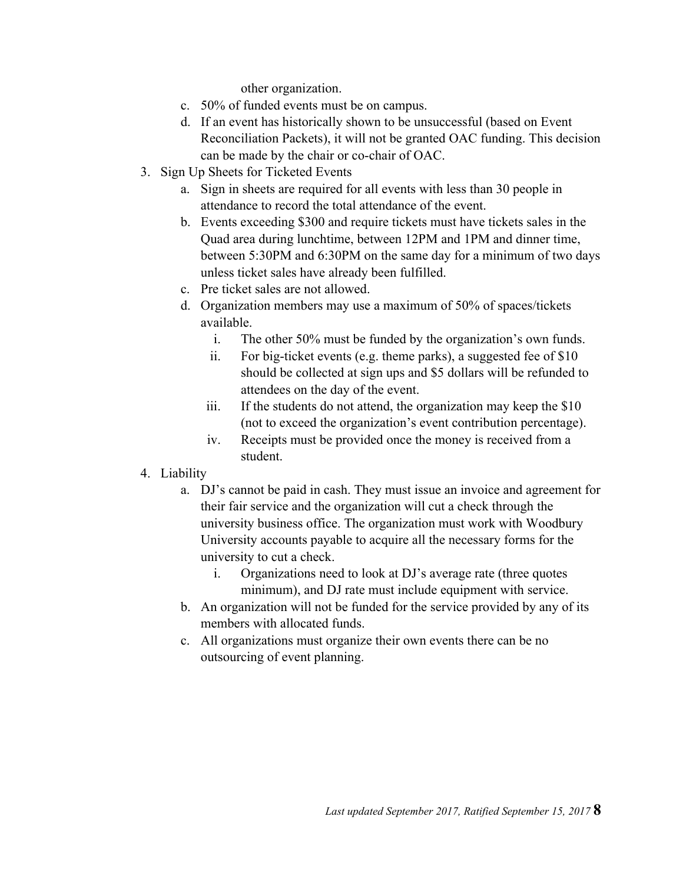other organization.

- c. 50% of funded events must be on campus.
- d. If an event has historically shown to be unsuccessful (based on Event Reconciliation Packets), it will not be granted OAC funding. This decision can be made by the chair or co-chair of OAC.
- 3. Sign Up Sheets for Ticketed Events
	- a. Sign in sheets are required for all events with less than 30 people in attendance to record the total attendance of the event.
	- b. Events exceeding \$300 and require tickets must have tickets sales in the Quad area during lunchtime, between 12PM and 1PM and dinner time, between 5:30PM and 6:30PM on the same day for a minimum of two days unless ticket sales have already been fulfilled.
	- c. Pre ticket sales are not allowed.
	- d. Organization members may use a maximum of 50% of spaces/tickets available.
		- i. The other 50% must be funded by the organization's own funds.
		- ii. For big-ticket events (e.g. theme parks), a suggested fee of \$10 should be collected at sign ups and \$5 dollars will be refunded to attendees on the day of the event.
		- iii. If the students do not attend, the organization may keep the \$10 (not to exceed the organization's event contribution percentage).
		- iv. Receipts must be provided once the money is received from a student.
- 4. Liability
	- a. DJ's cannot be paid in cash. They must issue an invoice and agreement for their fair service and the organization will cut a check through the university business office. The organization must work with Woodbury University accounts payable to acquire all the necessary forms for the university to cut a check.
		- i. Organizations need to look at DJ's average rate (three quotes minimum), and DJ rate must include equipment with service.
	- b. An organization will not be funded for the service provided by any of its members with allocated funds.
	- c. All organizations must organize their own events there can be no outsourcing of event planning.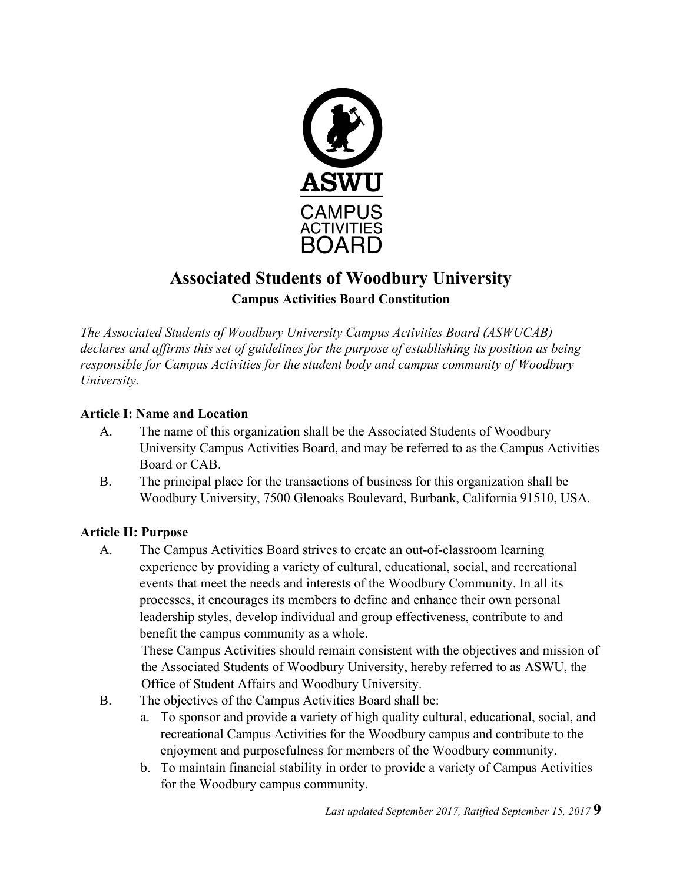

# **Associated Students of Woodbury University Campus Activities Board Constitution**

*The Associated Students of Woodbury University Campus Activities Board (ASWUCAB) declares and affirms this set of guidelines for the purpose of establishing its position as being responsible for Campus Activities for the student body and campus community of Woodbury University.*

#### **Article I: Name and Location**

- A. The name of this organization shall be the Associated Students of Woodbury University Campus Activities Board, and may be referred to as the Campus Activities Board or CAB.
- B. The principal place for the transactions of business for this organization shall be Woodbury University, 7500 Glenoaks Boulevard, Burbank, California 91510, USA.

## **Article II: Purpose**

A. The Campus Activities Board strives to create an out-of-classroom learning experience by providing a variety of cultural, educational, social, and recreational events that meet the needs and interests of the Woodbury Community. In all its processes, it encourages its members to define and enhance their own personal leadership styles, develop individual and group effectiveness, contribute to and benefit the campus community as a whole.

These Campus Activities should remain consistent with the objectives and mission of the Associated Students of Woodbury University, hereby referred to as ASWU, the Office of Student Affairs and Woodbury University.

- B. The objectives of the Campus Activities Board shall be:
	- a. To sponsor and provide a variety of high quality cultural, educational, social, and recreational Campus Activities for the Woodbury campus and contribute to the enjoyment and purposefulness for members of the Woodbury community.
	- b. To maintain financial stability in order to provide a variety of Campus Activities for the Woodbury campus community.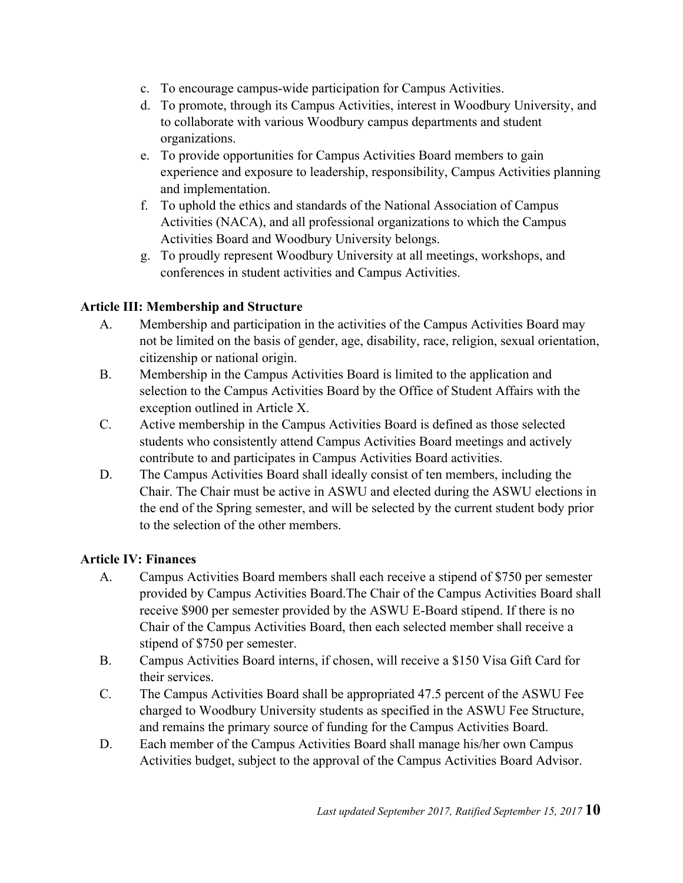- c. To encourage campus-wide participation for Campus Activities.
- d. To promote, through its Campus Activities, interest in Woodbury University, and to collaborate with various Woodbury campus departments and student organizations.
- e. To provide opportunities for Campus Activities Board members to gain experience and exposure to leadership, responsibility, Campus Activities planning and implementation.
- f. To uphold the ethics and standards of the National Association of Campus Activities (NACA), and all professional organizations to which the Campus Activities Board and Woodbury University belongs.
- g. To proudly represent Woodbury University at all meetings, workshops, and conferences in student activities and Campus Activities.

## **Article III: Membership and Structure**

- A. Membership and participation in the activities of the Campus Activities Board may not be limited on the basis of gender, age, disability, race, religion, sexual orientation, citizenship or national origin.
- B. Membership in the Campus Activities Board is limited to the application and selection to the Campus Activities Board by the Office of Student Affairs with the exception outlined in Article X.
- C. Active membership in the Campus Activities Board is defined as those selected students who consistently attend Campus Activities Board meetings and actively contribute to and participates in Campus Activities Board activities.
- D. The Campus Activities Board shall ideally consist of ten members, including the Chair. The Chair must be active in ASWU and elected during the ASWU elections in the end of the Spring semester, and will be selected by the current student body prior to the selection of the other members.

#### **Article IV: Finances**

- A. Campus Activities Board members shall each receive a stipend of \$750 per semester provided by Campus Activities Board.The Chair of the Campus Activities Board shall receive \$900 per semester provided by the ASWU E-Board stipend. If there is no Chair of the Campus Activities Board, then each selected member shall receive a stipend of \$750 per semester.
- B. Campus Activities Board interns, if chosen, will receive a \$150 Visa Gift Card for their services.
- C. The Campus Activities Board shall be appropriated 47.5 percent of the ASWU Fee charged to Woodbury University students as specified in the ASWU Fee Structure, and remains the primary source of funding for the Campus Activities Board.
- D. Each member of the Campus Activities Board shall manage his/her own Campus Activities budget, subject to the approval of the Campus Activities Board Advisor.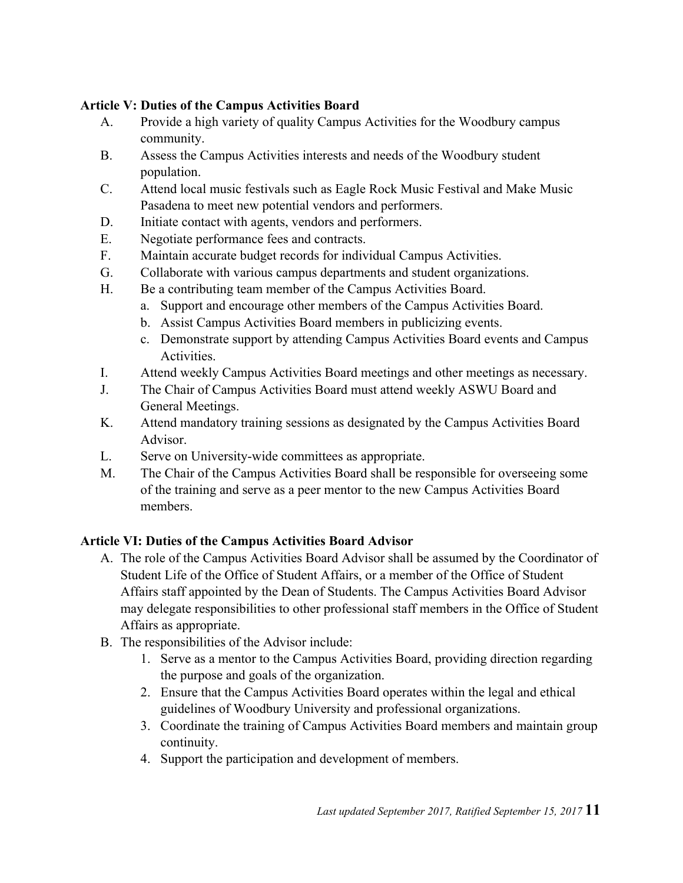#### **Article V: Duties of the Campus Activities Board**

- A. Provide a high variety of quality Campus Activities for the Woodbury campus community.
- B. Assess the Campus Activities interests and needs of the Woodbury student population.
- C. Attend local music festivals such as Eagle Rock Music Festival and Make Music Pasadena to meet new potential vendors and performers.
- D. Initiate contact with agents, vendors and performers.
- E. Negotiate performance fees and contracts.
- F. Maintain accurate budget records for individual Campus Activities.
- G. Collaborate with various campus departments and student organizations.
- H. Be a contributing team member of the Campus Activities Board.
	- a. Support and encourage other members of the Campus Activities Board.
	- b. Assist Campus Activities Board members in publicizing events.
	- c. Demonstrate support by attending Campus Activities Board events and Campus Activities.
- I. Attend weekly Campus Activities Board meetings and other meetings as necessary.
- J. The Chair of Campus Activities Board must attend weekly ASWU Board and General Meetings.
- K. Attend mandatory training sessions as designated by the Campus Activities Board Advisor.
- L. Serve on University-wide committees as appropriate.
- M. The Chair of the Campus Activities Board shall be responsible for overseeing some of the training and serve as a peer mentor to the new Campus Activities Board members.

#### **Article VI: Duties of the Campus Activities Board Advisor**

- A. The role of the Campus Activities Board Advisor shall be assumed by the Coordinator of Student Life of the Office of Student Affairs, or a member of the Office of Student Affairs staff appointed by the Dean of Students. The Campus Activities Board Advisor may delegate responsibilities to other professional staff members in the Office of Student Affairs as appropriate.
- B. The responsibilities of the Advisor include:
	- 1. Serve as a mentor to the Campus Activities Board, providing direction regarding the purpose and goals of the organization.
	- 2. Ensure that the Campus Activities Board operates within the legal and ethical guidelines of Woodbury University and professional organizations.
	- 3. Coordinate the training of Campus Activities Board members and maintain group continuity.
	- 4. Support the participation and development of members.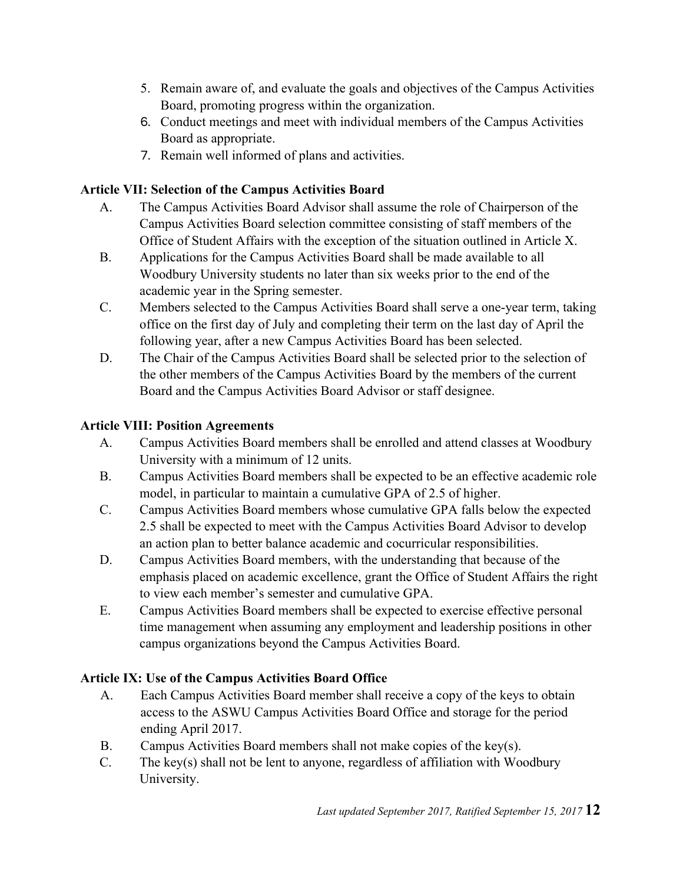- 5. Remain aware of, and evaluate the goals and objectives of the Campus Activities Board, promoting progress within the organization.
- 6. Conduct meetings and meet with individual members of the Campus Activities Board as appropriate.
- 7. Remain well informed of plans and activities.

## **Article VII: Selection of the Campus Activities Board**

- A. The Campus Activities Board Advisor shall assume the role of Chairperson of the Campus Activities Board selection committee consisting of staff members of the Office of Student Affairs with the exception of the situation outlined in Article X.
- B. Applications for the Campus Activities Board shall be made available to all Woodbury University students no later than six weeks prior to the end of the academic year in the Spring semester.
- C. Members selected to the Campus Activities Board shall serve a one-year term, taking office on the first day of July and completing their term on the last day of April the following year, after a new Campus Activities Board has been selected.
- D. The Chair of the Campus Activities Board shall be selected prior to the selection of the other members of the Campus Activities Board by the members of the current Board and the Campus Activities Board Advisor or staff designee.

## **Article VIII: Position Agreements**

- A. Campus Activities Board members shall be enrolled and attend classes at Woodbury University with a minimum of 12 units.
- B. Campus Activities Board members shall be expected to be an effective academic role model, in particular to maintain a cumulative GPA of 2.5 of higher.
- C. Campus Activities Board members whose cumulative GPA falls below the expected 2.5 shall be expected to meet with the Campus Activities Board Advisor to develop an action plan to better balance academic and cocurricular responsibilities.
- D. Campus Activities Board members, with the understanding that because of the emphasis placed on academic excellence, grant the Office of Student Affairs the right to view each member's semester and cumulative GPA.
- E. Campus Activities Board members shall be expected to exercise effective personal time management when assuming any employment and leadership positions in other campus organizations beyond the Campus Activities Board.

## **Article IX: Use of the Campus Activities Board Office**

- A. Each Campus Activities Board member shall receive a copy of the keys to obtain access to the ASWU Campus Activities Board Office and storage for the period ending April 2017.
- B. Campus Activities Board members shall not make copies of the key(s).
- C. The key(s) shall not be lent to anyone, regardless of affiliation with Woodbury University.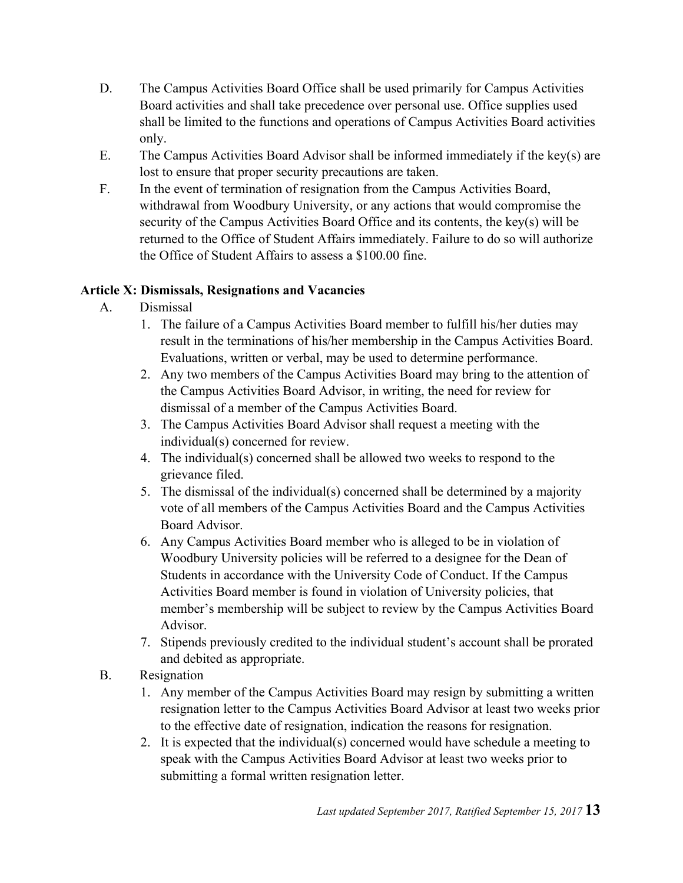- D. The Campus Activities Board Office shall be used primarily for Campus Activities Board activities and shall take precedence over personal use. Office supplies used shall be limited to the functions and operations of Campus Activities Board activities only.
- E. The Campus Activities Board Advisor shall be informed immediately if the key(s) are lost to ensure that proper security precautions are taken.
- F. In the event of termination of resignation from the Campus Activities Board, withdrawal from Woodbury University, or any actions that would compromise the security of the Campus Activities Board Office and its contents, the key(s) will be returned to the Office of Student Affairs immediately. Failure to do so will authorize the Office of Student Affairs to assess a \$100.00 fine.

## **Article X: Dismissals, Resignations and Vacancies**

- A. Dismissal
	- 1. The failure of a Campus Activities Board member to fulfill his/her duties may result in the terminations of his/her membership in the Campus Activities Board. Evaluations, written or verbal, may be used to determine performance.
	- 2. Any two members of the Campus Activities Board may bring to the attention of the Campus Activities Board Advisor, in writing, the need for review for dismissal of a member of the Campus Activities Board.
	- 3. The Campus Activities Board Advisor shall request a meeting with the individual(s) concerned for review.
	- 4. The individual(s) concerned shall be allowed two weeks to respond to the grievance filed.
	- 5. The dismissal of the individual(s) concerned shall be determined by a majority vote of all members of the Campus Activities Board and the Campus Activities Board Advisor.
	- 6. Any Campus Activities Board member who is alleged to be in violation of Woodbury University policies will be referred to a designee for the Dean of Students in accordance with the University Code of Conduct. If the Campus Activities Board member is found in violation of University policies, that member's membership will be subject to review by the Campus Activities Board Advisor.
	- 7. Stipends previously credited to the individual student's account shall be prorated and debited as appropriate.
- B. Resignation
	- 1. Any member of the Campus Activities Board may resign by submitting a written resignation letter to the Campus Activities Board Advisor at least two weeks prior to the effective date of resignation, indication the reasons for resignation.
	- 2. It is expected that the individual(s) concerned would have schedule a meeting to speak with the Campus Activities Board Advisor at least two weeks prior to submitting a formal written resignation letter.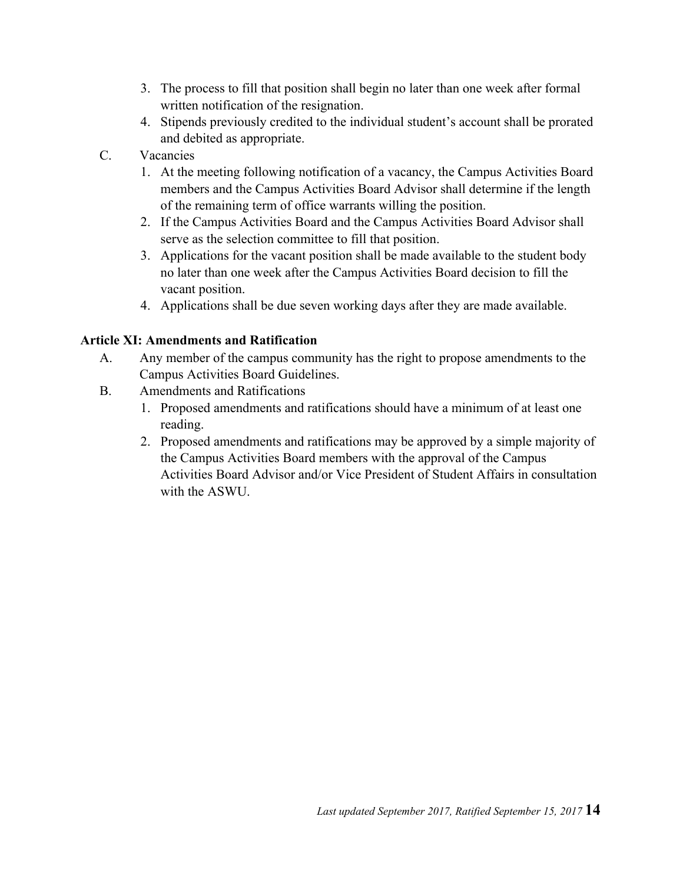- 3. The process to fill that position shall begin no later than one week after formal written notification of the resignation.
- 4. Stipends previously credited to the individual student's account shall be prorated and debited as appropriate.
- C. Vacancies
	- 1. At the meeting following notification of a vacancy, the Campus Activities Board members and the Campus Activities Board Advisor shall determine if the length of the remaining term of office warrants willing the position.
	- 2. If the Campus Activities Board and the Campus Activities Board Advisor shall serve as the selection committee to fill that position.
	- 3. Applications for the vacant position shall be made available to the student body no later than one week after the Campus Activities Board decision to fill the vacant position.
	- 4. Applications shall be due seven working days after they are made available.

#### **Article XI: Amendments and Ratification**

- A. Any member of the campus community has the right to propose amendments to the Campus Activities Board Guidelines.
- B. Amendments and Ratifications
	- 1. Proposed amendments and ratifications should have a minimum of at least one reading.
	- 2. Proposed amendments and ratifications may be approved by a simple majority of the Campus Activities Board members with the approval of the Campus Activities Board Advisor and/or Vice President of Student Affairs in consultation with the ASWU.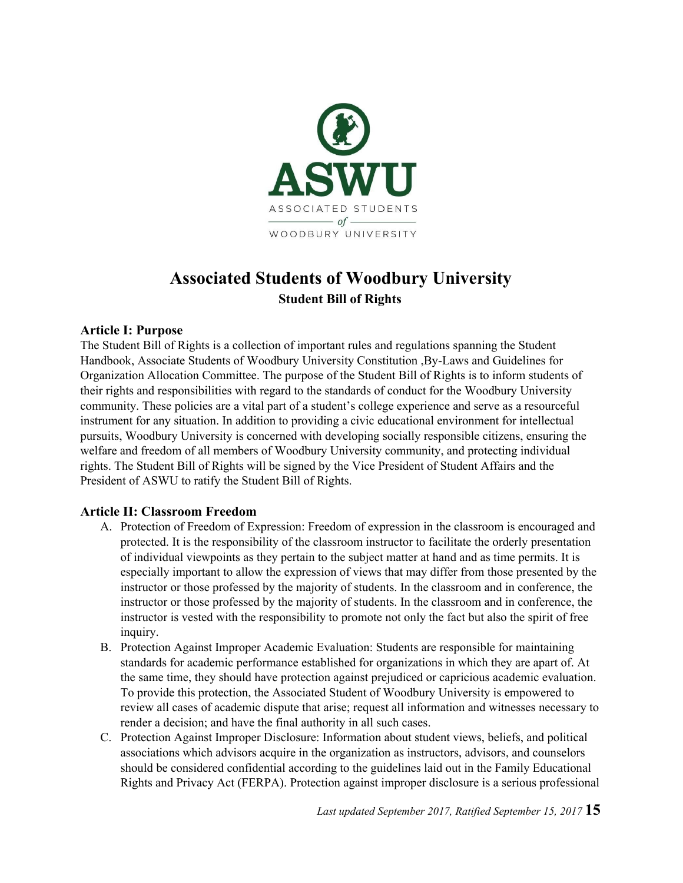

# **Associated Students of Woodbury University Student Bill of Rights**

#### **Article I: Purpose**

The Student Bill of Rights is a collection of important rules and regulations spanning the Student Handbook, Associate Students of Woodbury University Constitution ,By-Laws and Guidelines for Organization Allocation Committee. The purpose of the Student Bill of Rights is to inform students of their rights and responsibilities with regard to the standards of conduct for the Woodbury University community. These policies are a vital part of a student's college experience and serve as a resourceful instrument for any situation. In addition to providing a civic educational environment for intellectual pursuits, Woodbury University is concerned with developing socially responsible citizens, ensuring the welfare and freedom of all members of Woodbury University community, and protecting individual rights. The Student Bill of Rights will be signed by the Vice President of Student Affairs and the President of ASWU to ratify the Student Bill of Rights.

#### **Article II: Classroom Freedom**

- A. Protection of Freedom of Expression: Freedom of expression in the classroom is encouraged and protected. It is the responsibility of the classroom instructor to facilitate the orderly presentation of individual viewpoints as they pertain to the subject matter at hand and as time permits. It is especially important to allow the expression of views that may differ from those presented by the instructor or those professed by the majority of students. In the classroom and in conference, the instructor or those professed by the majority of students. In the classroom and in conference, the instructor is vested with the responsibility to promote not only the fact but also the spirit of free inquiry.
- B. Protection Against Improper Academic Evaluation: Students are responsible for maintaining standards for academic performance established for organizations in which they are apart of. At the same time, they should have protection against prejudiced or capricious academic evaluation. To provide this protection, the Associated Student of Woodbury University is empowered to review all cases of academic dispute that arise; request all information and witnesses necessary to render a decision; and have the final authority in all such cases.
- C. Protection Against Improper Disclosure: Information about student views, beliefs, and political associations which advisors acquire in the organization as instructors, advisors, and counselors should be considered confidential according to the guidelines laid out in the Family Educational Rights and Privacy Act (FERPA). Protection against improper disclosure is a serious professional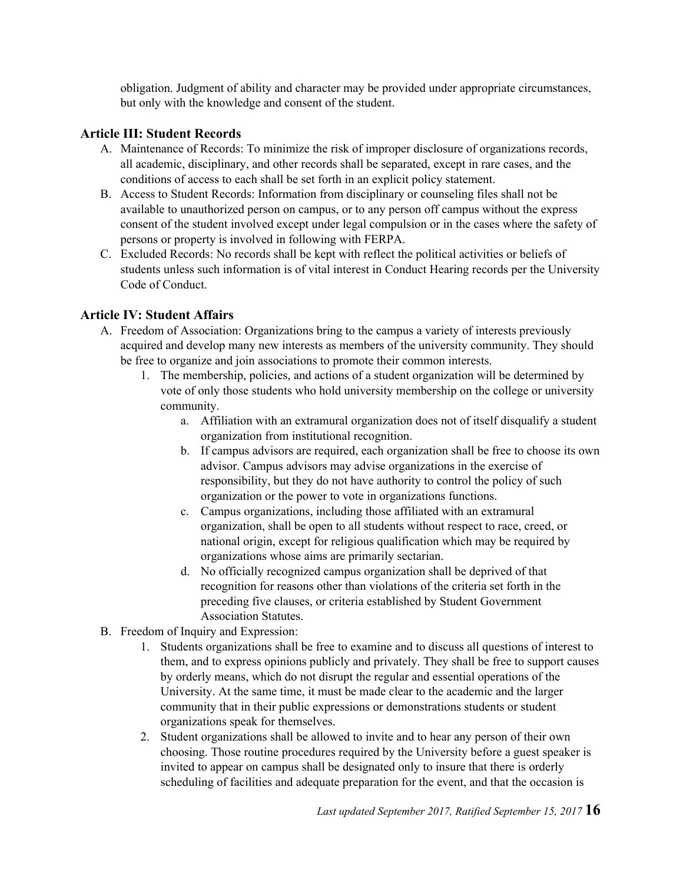obligation. Judgment of ability and character may be provided under appropriate circumstances, but only with the knowledge and consent of the student.

#### **Article III: Student Records**

- A. Maintenance of Records: To minimize the risk of improper disclosure of organizations records, all academic, disciplinary, and other records shall be separated, except in rare cases, and the conditions of access to each shall be set forth in an explicit policy statement.
- B. Access to Student Records: Information from disciplinary or counseling files shall not be available to unauthorized person on campus, or to any person off campus without the express consent of the student involved except under legal compulsion or in the cases where the safety of persons or property is involved in following with FERPA.
- C. Excluded Records: No records shall be kept with reflect the political activities or beliefs of students unless such information is of vital interest in Conduct Hearing records per the University Code of Conduct.

#### **Article IV: Student Affairs**

- A. Freedom of Association: Organizations bring to the campus a variety of interests previously acquired and develop many new interests as members of the university community. They should be free to organize and join associations to promote their common interests.
	- 1. The membership, policies, and actions of a student organization will be determined by vote of only those students who hold university membership on the college or university community.
		- a. Affiliation with an extramural organization does not of itself disqualify a student organization from institutional recognition.
		- b. If campus advisors are required, each organization shall be free to choose its own advisor. Campus advisors may advise organizations in the exercise of responsibility, but they do not have authority to control the policy of such organization or the power to vote in organizations functions.
		- c. Campus organizations, including those affiliated with an extramural organization, shall be open to all students without respect to race, creed, or national origin, except for religious qualification which may be required by organizations whose aims are primarily sectarian.
		- d. No officially recognized campus organization shall be deprived of that recognition for reasons other than violations of the criteria set forth in the preceding five clauses, or criteria established by Student Government Association Statutes.
- B. Freedom of Inquiry and Expression:
	- 1. Students organizations shall be free to examine and to discuss all questions of interest to them, and to express opinions publicly and privately. They shall be free to support causes by orderly means, which do not disrupt the regular and essential operations of the University. At the same time, it must be made clear to the academic and the larger community that in their public expressions or demonstrations students or student organizations speak for themselves.
	- 2. Student organizations shall be allowed to invite and to hear any person of their own choosing. Those routine procedures required by the University before a guest speaker is invited to appear on campus shall be designated only to insure that there is orderly scheduling of facilities and adequate preparation for the event, and that the occasion is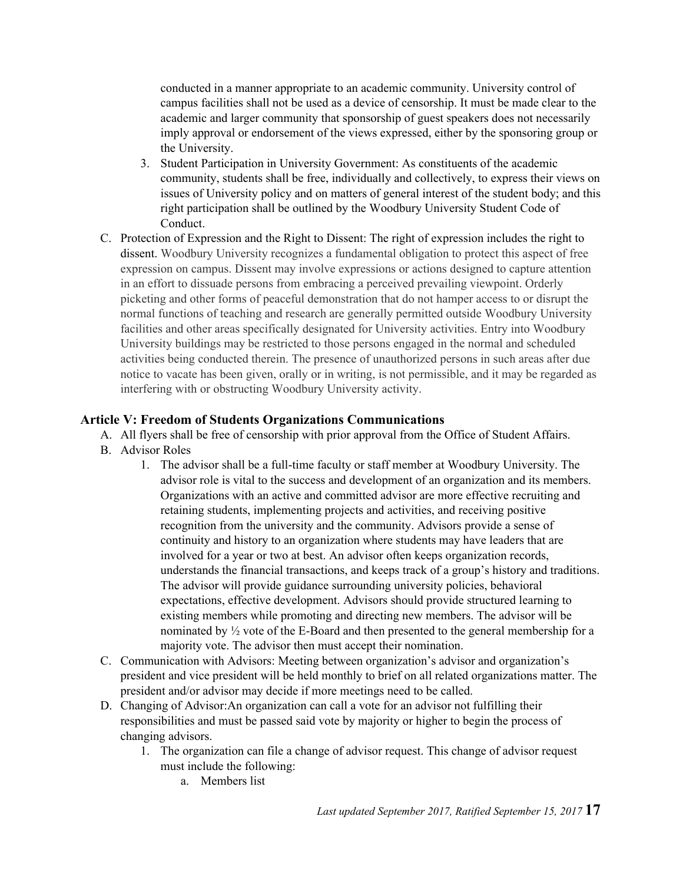conducted in a manner appropriate to an academic community. University control of campus facilities shall not be used as a device of censorship. It must be made clear to the academic and larger community that sponsorship of guest speakers does not necessarily imply approval or endorsement of the views expressed, either by the sponsoring group or the University.

- 3. Student Participation in University Government: As constituents of the academic community, students shall be free, individually and collectively, to express their views on issues of University policy and on matters of general interest of the student body; and this right participation shall be outlined by the Woodbury University Student Code of Conduct.
- C. Protection of Expression and the Right to Dissent: The right of expression includes the right to dissent. Woodbury University recognizes a fundamental obligation to protect this aspect of free expression on campus. Dissent may involve expressions or actions designed to capture attention in an effort to dissuade persons from embracing a perceived prevailing viewpoint. Orderly picketing and other forms of peaceful demonstration that do not hamper access to or disrupt the normal functions of teaching and research are generally permitted outside Woodbury University facilities and other areas specifically designated for University activities. Entry into Woodbury University buildings may be restricted to those persons engaged in the normal and scheduled activities being conducted therein. The presence of unauthorized persons in such areas after due notice to vacate has been given, orally or in writing, is not permissible, and it may be regarded as interfering with or obstructing Woodbury University activity.

#### **Article V: Freedom of Students Organizations Communications**

- A. All flyers shall be free of censorship with prior approval from the Office of Student Affairs.
- B. Advisor Roles
	- 1. The advisor shall be a full-time faculty or staff member at Woodbury University. The advisor role is vital to the success and development of an organization and its members. Organizations with an active and committed advisor are more effective recruiting and retaining students, implementing projects and activities, and receiving positive recognition from the university and the community. Advisors provide a sense of continuity and history to an organization where students may have leaders that are involved for a year or two at best. An advisor often keeps organization records, understands the financial transactions, and keeps track of a group's history and traditions. The advisor will provide guidance surrounding university policies, behavioral expectations, effective development. Advisors should provide structured learning to existing members while promoting and directing new members. The advisor will be nominated by ½ vote of the E-Board and then presented to the general membership for a majority vote. The advisor then must accept their nomination.
- C. Communication with Advisors: Meeting between organization's advisor and organization's president and vice president will be held monthly to brief on all related organizations matter. The president and/or advisor may decide if more meetings need to be called.
- D. Changing of Advisor:An organization can call a vote for an advisor not fulfilling their responsibilities and must be passed said vote by majority or higher to begin the process of changing advisors.
	- 1. The organization can file a change of advisor request. This change of advisor request must include the following:
		- a. Members list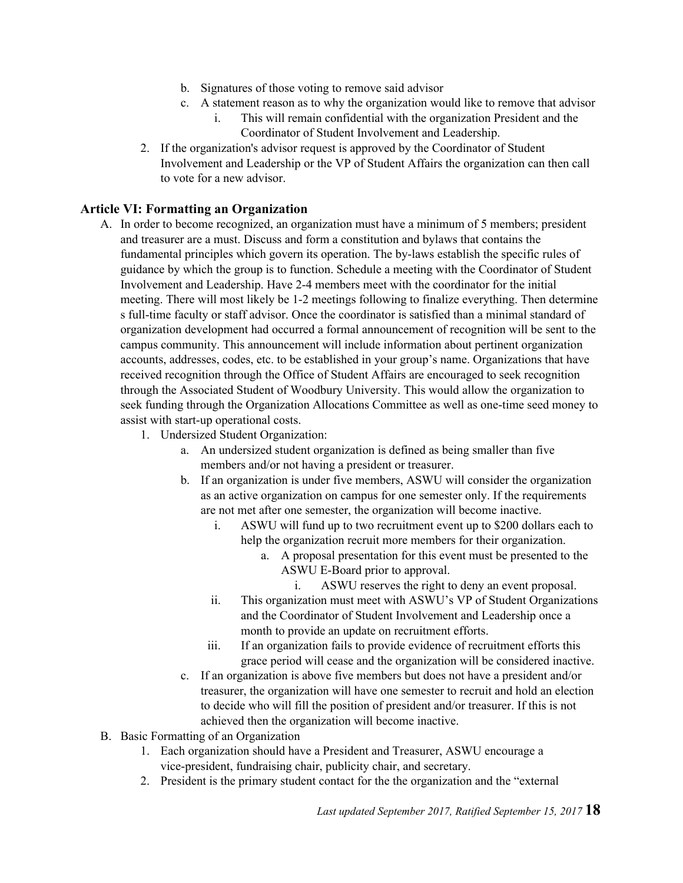- b. Signatures of those voting to remove said advisor
- c. A statement reason as to why the organization would like to remove that advisor
	- i. This will remain confidential with the organization President and the Coordinator of Student Involvement and Leadership.
- 2. If the organization's advisor request is approved by the Coordinator of Student Involvement and Leadership or the VP of Student Affairs the organization can then call to vote for a new advisor.

#### **Article VI: Formatting an Organization**

- A. In order to become recognized, an organization must have a minimum of 5 members; president and treasurer are a must. Discuss and form a constitution and bylaws that contains the fundamental principles which govern its operation. The by-laws establish the specific rules of guidance by which the group is to function. Schedule a meeting with the Coordinator of Student Involvement and Leadership. Have 2-4 members meet with the coordinator for the initial meeting. There will most likely be 1-2 meetings following to finalize everything. Then determine s full-time faculty or staff advisor. Once the coordinator is satisfied than a minimal standard of organization development had occurred a formal announcement of recognition will be sent to the campus community. This announcement will include information about pertinent organization accounts, addresses, codes, etc. to be established in your group's name. Organizations that have received recognition through the Office of Student Affairs are encouraged to seek recognition through the Associated Student of Woodbury University. This would allow the organization to seek funding through the Organization Allocations Committee as well as one-time seed money to assist with start-up operational costs.
	- 1. Undersized Student Organization:
		- a. An undersized student organization is defined as being smaller than five members and/or not having a president or treasurer.
		- b. If an organization is under five members, ASWU will consider the organization as an active organization on campus for one semester only. If the requirements are not met after one semester, the organization will become inactive.
			- i. ASWU will fund up to two recruitment event up to \$200 dollars each to help the organization recruit more members for their organization.
				- a. A proposal presentation for this event must be presented to the ASWU E-Board prior to approval.
					- i. ASWU reserves the right to deny an event proposal.
			- ii. This organization must meet with ASWU's VP of Student Organizations and the Coordinator of Student Involvement and Leadership once a month to provide an update on recruitment efforts.
			- iii. If an organization fails to provide evidence of recruitment efforts this grace period will cease and the organization will be considered inactive.
		- c. If an organization is above five members but does not have a president and/or treasurer, the organization will have one semester to recruit and hold an election to decide who will fill the position of president and/or treasurer. If this is not achieved then the organization will become inactive.
- B. Basic Formatting of an Organization
	- 1. Each organization should have a President and Treasurer, ASWU encourage a vice-president, fundraising chair, publicity chair, and secretary.
	- 2. President is the primary student contact for the the organization and the "external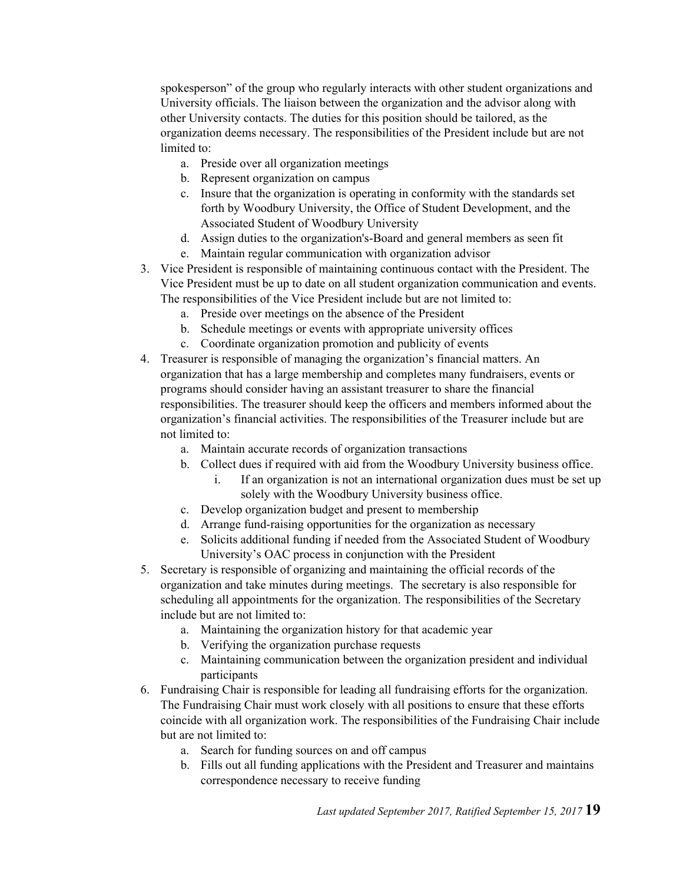spokesperson" of the group who regularly interacts with other student organizations and University officials. The liaison between the organization and the advisor along with other University contacts. The duties for this position should be tailored, as the organization deems necessary. The responsibilities of the President include but are not limited to:

- a. Preside over all organization meetings
- b. Represent organization on campus
- c. Insure that the organization is operating in conformity with the standards set forth by Woodbury University, the Office of Student Development, and the Associated Student of Woodbury University
- d. Assign duties to the organization's-Board and general members as seen fit
- e. Maintain regular communication with organization advisor
- 3. Vice President is responsible of maintaining continuous contact with the President. The Vice President must be up to date on all student organization communication and events. The responsibilities of the Vice President include but are not limited to:
	- a. Preside over meetings on the absence of the President
	- b. Schedule meetings or events with appropriate university offices
	- c. Coordinate organization promotion and publicity of events
- 4. Treasurer is responsible of managing the organization's financial matters. An organization that has a large membership and completes many fundraisers, events or programs should consider having an assistant treasurer to share the financial responsibilities. The treasurer should keep the officers and members informed about the organization's financial activities. The responsibilities of the Treasurer include but are not limited to:
	- a. Maintain accurate records of organization transactions
	- b. Collect dues if required with aid from the Woodbury University business office.
		- i. If an organization is not an international organization dues must be set up solely with the Woodbury University business office.
	- c. Develop organization budget and present to membership
	- d. Arrange fund-raising opportunities for the organization as necessary
	- e. Solicits additional funding if needed from the Associated Student of Woodbury University's OAC process in conjunction with the President
- 5. Secretary is responsible of organizing and maintaining the official records of the organization and take minutes during meetings. The secretary is also responsible for scheduling all appointments for the organization. The responsibilities of the Secretary include but are not limited to:
	- a. Maintaining the organization history for that academic year
	- b. Verifying the organization purchase requests
	- c. Maintaining communication between the organization president and individual participants
- 6. Fundraising Chair is responsible for leading all fundraising efforts for the organization. The Fundraising Chair must work closely with all positions to ensure that these efforts coincide with all organization work. The responsibilities of the Fundraising Chair include but are not limited to:
	- a. Search for funding sources on and off campus
	- b. Fills out all funding applications with the President and Treasurer and maintains correspondence necessary to receive funding